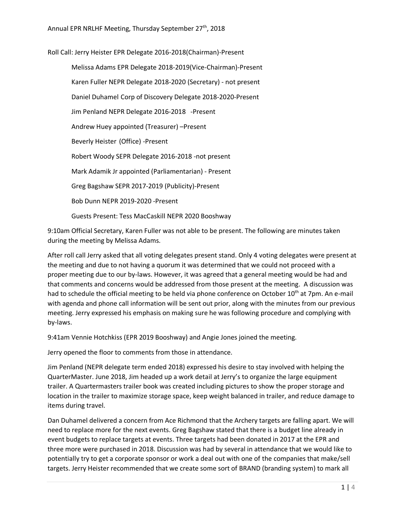Roll Call: Jerry Heister EPR Delegate 2016-2018(Chairman)-Present Melissa Adams EPR Delegate 2018-2019(Vice-Chairman)-Present Karen Fuller NEPR Delegate 2018-2020 (Secretary) - not present Daniel Duhamel Corp of Discovery Delegate 2018-2020-Present Jim Penland NEPR Delegate 2016-2018 -Present Andrew Huey appointed (Treasurer) –Present Beverly Heister (Office) -Present Robert Woody SEPR Delegate 2016-2018 -not present Mark Adamik Jr appointed (Parliamentarian) - Present Greg Bagshaw SEPR 2017-2019 (Publicity)-Present Bob Dunn NEPR 2019-2020 -Present Guests Present: Tess MacCaskill NEPR 2020 Booshway

9:10am Official Secretary, Karen Fuller was not able to be present. The following are minutes taken during the meeting by Melissa Adams.

After roll call Jerry asked that all voting delegates present stand. Only 4 voting delegates were present at the meeting and due to not having a quorum it was determined that we could not proceed with a proper meeting due to our by-laws. However, it was agreed that a general meeting would be had and that comments and concerns would be addressed from those present at the meeting. A discussion was had to schedule the official meeting to be held via phone conference on October 10<sup>th</sup> at 7pm. An e-mail with agenda and phone call information will be sent out prior, along with the minutes from our previous meeting. Jerry expressed his emphasis on making sure he was following procedure and complying with by-laws.

9:41am Vennie Hotchkiss (EPR 2019 Booshway) and Angie Jones joined the meeting.

Jerry opened the floor to comments from those in attendance.

Jim Penland (NEPR delegate term ended 2018) expressed his desire to stay involved with helping the QuarterMaster. June 2018, Jim headed up a work detail at Jerry's to organize the large equipment trailer. A Quartermasters trailer book was created including pictures to show the proper storage and location in the trailer to maximize storage space, keep weight balanced in trailer, and reduce damage to items during travel.

Dan Duhamel delivered a concern from Ace Richmond that the Archery targets are falling apart. We will need to replace more for the next events. Greg Bagshaw stated that there is a budget line already in event budgets to replace targets at events. Three targets had been donated in 2017 at the EPR and three more were purchased in 2018. Discussion was had by several in attendance that we would like to potentially try to get a corporate sponsor or work a deal out with one of the companies that make/sell targets. Jerry Heister recommended that we create some sort of BRAND (branding system) to mark all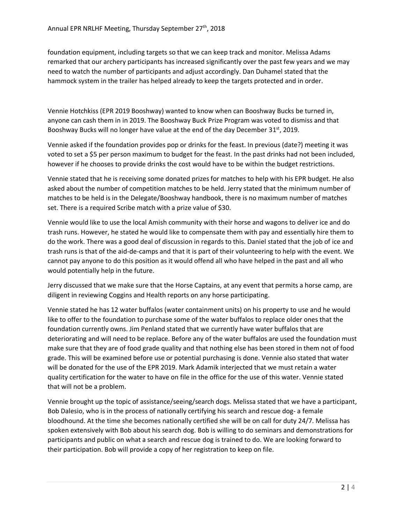foundation equipment, including targets so that we can keep track and monitor. Melissa Adams remarked that our archery participants has increased significantly over the past few years and we may need to watch the number of participants and adjust accordingly. Dan Duhamel stated that the hammock system in the trailer has helped already to keep the targets protected and in order.

Vennie Hotchkiss (EPR 2019 Booshway) wanted to know when can Booshway Bucks be turned in, anyone can cash them in in 2019. The Booshway Buck Prize Program was voted to dismiss and that Booshway Bucks will no longer have value at the end of the day December 31st, 2019.

Vennie asked if the foundation provides pop or drinks for the feast. In previous (date?) meeting it was voted to set a \$5 per person maximum to budget for the feast. In the past drinks had not been included, however if he chooses to provide drinks the cost would have to be within the budget restrictions.

Vennie stated that he is receiving some donated prizes for matches to help with his EPR budget. He also asked about the number of competition matches to be held. Jerry stated that the minimum number of matches to be held is in the Delegate/Booshway handbook, there is no maximum number of matches set. There is a required Scribe match with a prize value of \$30.

Vennie would like to use the local Amish community with their horse and wagons to deliver ice and do trash runs. However, he stated he would like to compensate them with pay and essentially hire them to do the work. There was a good deal of discussion in regards to this. Daniel stated that the job of ice and trash runs is that of the aid-de-camps and that it is part of their volunteering to help with the event. We cannot pay anyone to do this position as it would offend all who have helped in the past and all who would potentially help in the future.

Jerry discussed that we make sure that the Horse Captains, at any event that permits a horse camp, are diligent in reviewing Coggins and Health reports on any horse participating.

Vennie stated he has 12 water buffalos (water containment units) on his property to use and he would like to offer to the foundation to purchase some of the water buffalos to replace older ones that the foundation currently owns. Jim Penland stated that we currently have water buffalos that are deteriorating and will need to be replace. Before any of the water buffalos are used the foundation must make sure that they are of food grade quality and that nothing else has been stored in them not of food grade. This will be examined before use or potential purchasing is done. Vennie also stated that water will be donated for the use of the EPR 2019. Mark Adamik interjected that we must retain a water quality certification for the water to have on file in the office for the use of this water. Vennie stated that will not be a problem.

Vennie brought up the topic of assistance/seeing/search dogs. Melissa stated that we have a participant, Bob Dalesio, who is in the process of nationally certifying his search and rescue dog- a female bloodhound. At the time she becomes nationally certified she will be on call for duty 24/7. Melissa has spoken extensively with Bob about his search dog. Bob is willing to do seminars and demonstrations for participants and public on what a search and rescue dog is trained to do. We are looking forward to their participation. Bob will provide a copy of her registration to keep on file.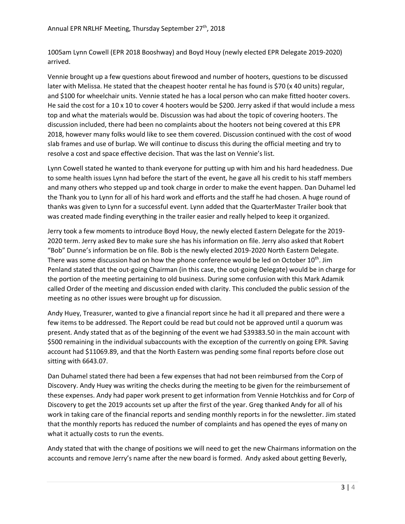1005am Lynn Cowell (EPR 2018 Booshway) and Boyd Houy (newly elected EPR Delegate 2019-2020) arrived.

Vennie brought up a few questions about firewood and number of hooters, questions to be discussed later with Melissa. He stated that the cheapest hooter rental he has found is \$70 (x 40 units) regular, and \$100 for wheelchair units. Vennie stated he has a local person who can make fitted hooter covers. He said the cost for a 10 x 10 to cover 4 hooters would be \$200. Jerry asked if that would include a mess top and what the materials would be. Discussion was had about the topic of covering hooters. The discussion included, there had been no complaints about the hooters not being covered at this EPR 2018, however many folks would like to see them covered. Discussion continued with the cost of wood slab frames and use of burlap. We will continue to discuss this during the official meeting and try to resolve a cost and space effective decision. That was the last on Vennie's list.

Lynn Cowell stated he wanted to thank everyone for putting up with him and his hard headedness. Due to some health issues Lynn had before the start of the event, he gave all his credit to his staff members and many others who stepped up and took charge in order to make the event happen. Dan Duhamel led the Thank you to Lynn for all of his hard work and efforts and the staff he had chosen. A huge round of thanks was given to Lynn for a successful event. Lynn added that the QuarterMaster Trailer book that was created made finding everything in the trailer easier and really helped to keep it organized.

Jerry took a few moments to introduce Boyd Houy, the newly elected Eastern Delegate for the 2019- 2020 term. Jerry asked Bev to make sure she has his information on file. Jerry also asked that Robert "Bob" Dunne's information be on file. Bob is the newly elected 2019-2020 North Eastern Delegate. There was some discussion had on how the phone conference would be led on October  $10^{th}$ . Jim Penland stated that the out-going Chairman (in this case, the out-going Delegate) would be in charge for the portion of the meeting pertaining to old business. During some confusion with this Mark Adamik called Order of the meeting and discussion ended with clarity. This concluded the public session of the meeting as no other issues were brought up for discussion.

Andy Huey, Treasurer, wanted to give a financial report since he had it all prepared and there were a few items to be addressed. The Report could be read but could not be approved until a quorum was present. Andy stated that as of the beginning of the event we had \$39383.50 in the main account with \$500 remaining in the individual subaccounts with the exception of the currently on going EPR. Saving account had \$11069.89, and that the North Eastern was pending some final reports before close out sitting with 6643.07.

Dan Duhamel stated there had been a few expenses that had not been reimbursed from the Corp of Discovery. Andy Huey was writing the checks during the meeting to be given for the reimbursement of these expenses. Andy had paper work present to get information from Vennie Hotchkiss and for Corp of Discovery to get the 2019 accounts set up after the first of the year. Greg thanked Andy for all of his work in taking care of the financial reports and sending monthly reports in for the newsletter. Jim stated that the monthly reports has reduced the number of complaints and has opened the eyes of many on what it actually costs to run the events.

Andy stated that with the change of positions we will need to get the new Chairmans information on the accounts and remove Jerry's name after the new board is formed. Andy asked about getting Beverly,